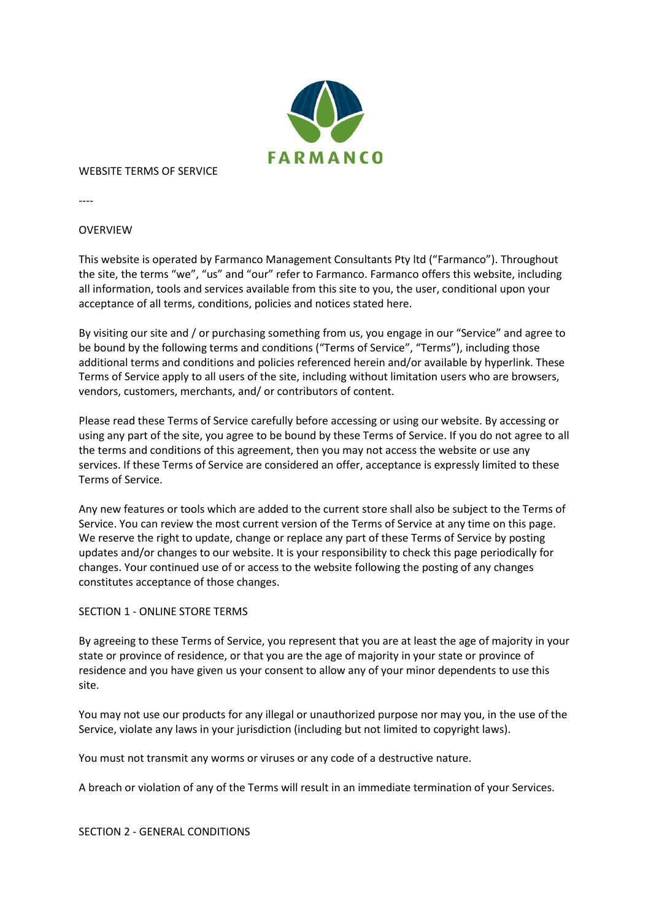

# WEBSITE TERMS OF SERVICE

----

## OVERVIEW

This website is operated by Farmanco Management Consultants Pty ltd ("Farmanco"). Throughout the site, the terms "we", "us" and "our" refer to Farmanco. Farmanco offers this website, including all information, tools and services available from this site to you, the user, conditional upon your acceptance of all terms, conditions, policies and notices stated here.

By visiting our site and / or purchasing something from us, you engage in our "Service" and agree to be bound by the following terms and conditions ("Terms of Service", "Terms"), including those additional terms and conditions and policies referenced herein and/or available by hyperlink. These Terms of Service apply to all users of the site, including without limitation users who are browsers, vendors, customers, merchants, and/ or contributors of content.

Please read these Terms of Service carefully before accessing or using our website. By accessing or using any part of the site, you agree to be bound by these Terms of Service. If you do not agree to all the terms and conditions of this agreement, then you may not access the website or use any services. If these Terms of Service are considered an offer, acceptance is expressly limited to these Terms of Service.

Any new features or tools which are added to the current store shall also be subject to the Terms of Service. You can review the most current version of the Terms of Service at any time on this page. We reserve the right to update, change or replace any part of these Terms of Service by posting updates and/or changes to our website. It is your responsibility to check this page periodically for changes. Your continued use of or access to the website following the posting of any changes constitutes acceptance of those changes.

## SECTION 1 - ONLINE STORE TERMS

By agreeing to these Terms of Service, you represent that you are at least the age of majority in your state or province of residence, or that you are the age of majority in your state or province of residence and you have given us your consent to allow any of your minor dependents to use this site.

You may not use our products for any illegal or unauthorized purpose nor may you, in the use of the Service, violate any laws in your jurisdiction (including but not limited to copyright laws).

You must not transmit any worms or viruses or any code of a destructive nature.

A breach or violation of any of the Terms will result in an immediate termination of your Services.

SECTION 2 - GENERAL CONDITIONS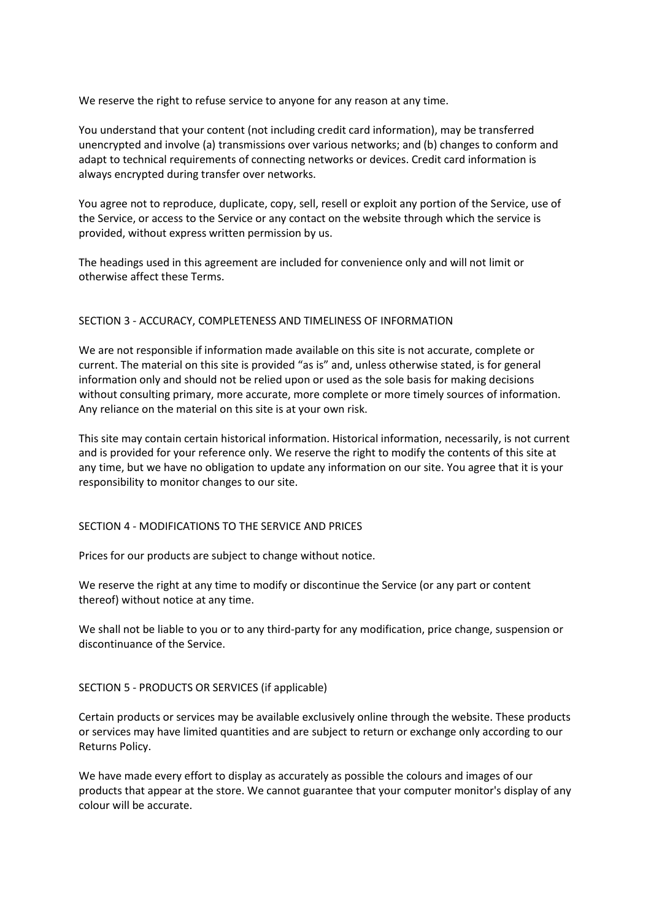We reserve the right to refuse service to anyone for any reason at any time.

You understand that your content (not including credit card information), may be transferred unencrypted and involve (a) transmissions over various networks; and (b) changes to conform and adapt to technical requirements of connecting networks or devices. Credit card information is always encrypted during transfer over networks.

You agree not to reproduce, duplicate, copy, sell, resell or exploit any portion of the Service, use of the Service, or access to the Service or any contact on the website through which the service is provided, without express written permission by us.

The headings used in this agreement are included for convenience only and will not limit or otherwise affect these Terms.

## SECTION 3 - ACCURACY, COMPLETENESS AND TIMELINESS OF INFORMATION

We are not responsible if information made available on this site is not accurate, complete or current. The material on this site is provided "as is" and, unless otherwise stated, is for general information only and should not be relied upon or used as the sole basis for making decisions without consulting primary, more accurate, more complete or more timely sources of information. Any reliance on the material on this site is at your own risk.

This site may contain certain historical information. Historical information, necessarily, is not current and is provided for your reference only. We reserve the right to modify the contents of this site at any time, but we have no obligation to update any information on our site. You agree that it is your responsibility to monitor changes to our site.

#### SECTION 4 - MODIFICATIONS TO THE SERVICE AND PRICES

Prices for our products are subject to change without notice.

We reserve the right at any time to modify or discontinue the Service (or any part or content thereof) without notice at any time.

We shall not be liable to you or to any third-party for any modification, price change, suspension or discontinuance of the Service.

#### SECTION 5 - PRODUCTS OR SERVICES (if applicable)

Certain products or services may be available exclusively online through the website. These products or services may have limited quantities and are subject to return or exchange only according to our Returns Policy.

We have made every effort to display as accurately as possible the colours and images of our products that appear at the store. We cannot guarantee that your computer monitor's display of any colour will be accurate.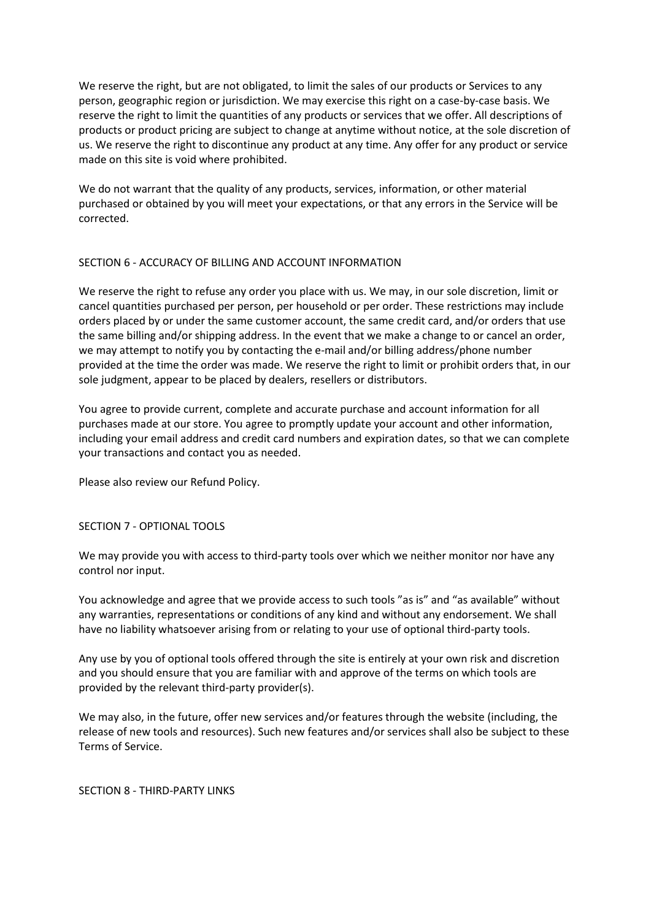We reserve the right, but are not obligated, to limit the sales of our products or Services to any person, geographic region or jurisdiction. We may exercise this right on a case-by-case basis. We reserve the right to limit the quantities of any products or services that we offer. All descriptions of products or product pricing are subject to change at anytime without notice, at the sole discretion of us. We reserve the right to discontinue any product at any time. Any offer for any product or service made on this site is void where prohibited.

We do not warrant that the quality of any products, services, information, or other material purchased or obtained by you will meet your expectations, or that any errors in the Service will be corrected.

# SECTION 6 - ACCURACY OF BILLING AND ACCOUNT INFORMATION

We reserve the right to refuse any order you place with us. We may, in our sole discretion, limit or cancel quantities purchased per person, per household or per order. These restrictions may include orders placed by or under the same customer account, the same credit card, and/or orders that use the same billing and/or shipping address. In the event that we make a change to or cancel an order, we may attempt to notify you by contacting the e-mail and/or billing address/phone number provided at the time the order was made. We reserve the right to limit or prohibit orders that, in our sole judgment, appear to be placed by dealers, resellers or distributors.

You agree to provide current, complete and accurate purchase and account information for all purchases made at our store. You agree to promptly update your account and other information, including your email address and credit card numbers and expiration dates, so that we can complete your transactions and contact you as needed.

Please also review our Refund Policy.

# SECTION 7 - OPTIONAL TOOLS

We may provide you with access to third-party tools over which we neither monitor nor have any control nor input.

You acknowledge and agree that we provide access to such tools "as is" and "as available" without any warranties, representations or conditions of any kind and without any endorsement. We shall have no liability whatsoever arising from or relating to your use of optional third-party tools.

Any use by you of optional tools offered through the site is entirely at your own risk and discretion and you should ensure that you are familiar with and approve of the terms on which tools are provided by the relevant third-party provider(s).

We may also, in the future, offer new services and/or features through the website (including, the release of new tools and resources). Such new features and/or services shall also be subject to these Terms of Service.

## SECTION 8 - THIRD-PARTY LINKS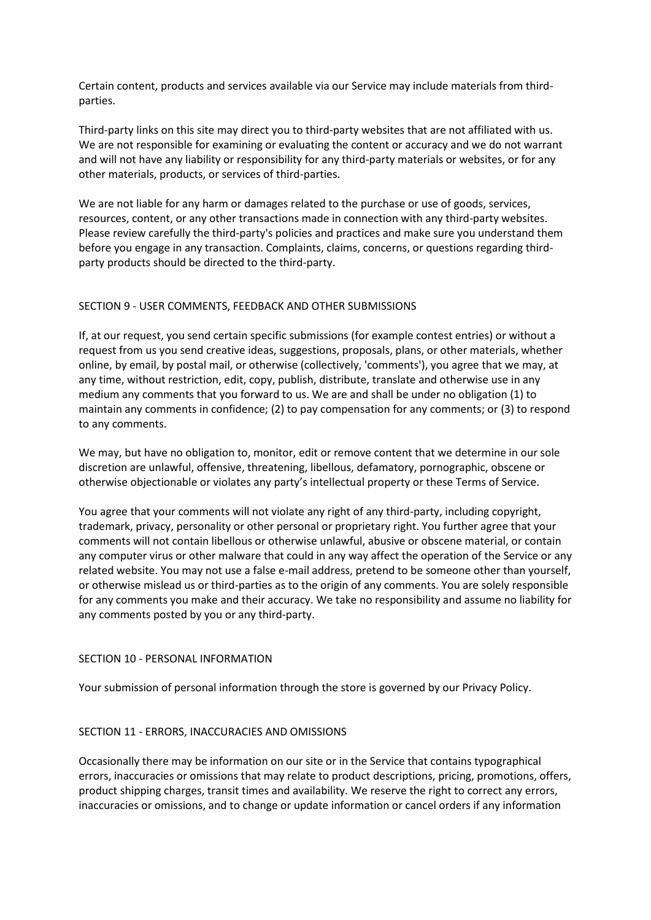Certain content, products and services available via our Service may include materials from thirdparties.

Third-party links on this site may direct you to third-party websites that are not affiliated with us. We are not responsible for examining or evaluating the content or accuracy and we do not warrant and will not have any liability or responsibility for any third-party materials or websites, or for any other materials, products, or services of third-parties.

We are not liable for any harm or damages related to the purchase or use of goods, services, resources, content, or any other transactions made in connection with any third-party websites. Please review carefully the third-party's policies and practices and make sure you understand them before you engage in any transaction. Complaints, claims, concerns, or questions regarding thirdparty products should be directed to the third-party.

## SECTION 9 - USER COMMENTS, FEEDBACK AND OTHER SUBMISSIONS

If, at our request, you send certain specific submissions (for example contest entries) or without a request from us you send creative ideas, suggestions, proposals, plans, or other materials, whether online, by email, by postal mail, or otherwise (collectively, 'comments'), you agree that we may, at any time, without restriction, edit, copy, publish, distribute, translate and otherwise use in any medium any comments that you forward to us. We are and shall be under no obligation (1) to maintain any comments in confidence; (2) to pay compensation for any comments; or (3) to respond to any comments.

We may, but have no obligation to, monitor, edit or remove content that we determine in our sole discretion are unlawful, offensive, threatening, libellous, defamatory, pornographic, obscene or otherwise objectionable or violates any party's intellectual property or these Terms of Service.

You agree that your comments will not violate any right of any third-party, including copyright, trademark, privacy, personality or other personal or proprietary right. You further agree that your comments will not contain libellous or otherwise unlawful, abusive or obscene material, or contain any computer virus or other malware that could in any way affect the operation of the Service or any related website. You may not use a false e-mail address, pretend to be someone other than yourself, or otherwise mislead us or third-parties as to the origin of any comments. You are solely responsible for any comments you make and their accuracy. We take no responsibility and assume no liability for any comments posted by you or any third-party.

#### SECTION 10 - PERSONAL INFORMATION

Your submission of personal information through the store is governed by our Privacy Policy.

## SECTION 11 - ERRORS, INACCURACIES AND OMISSIONS

Occasionally there may be information on our site or in the Service that contains typographical errors, inaccuracies or omissions that may relate to product descriptions, pricing, promotions, offers, product shipping charges, transit times and availability. We reserve the right to correct any errors, inaccuracies or omissions, and to change or update information or cancel orders if any information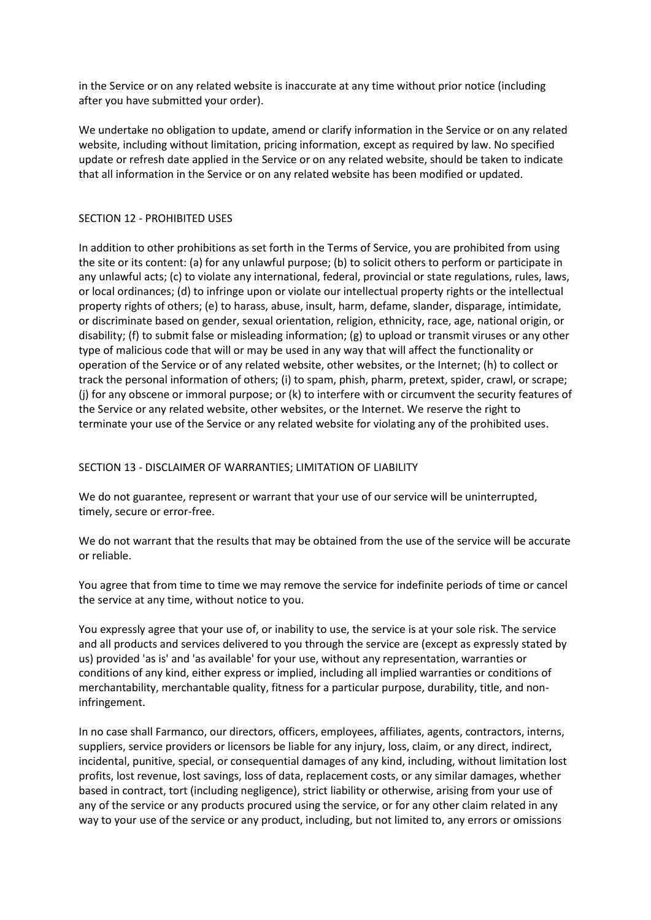in the Service or on any related website is inaccurate at any time without prior notice (including after you have submitted your order).

We undertake no obligation to update, amend or clarify information in the Service or on any related website, including without limitation, pricing information, except as required by law. No specified update or refresh date applied in the Service or on any related website, should be taken to indicate that all information in the Service or on any related website has been modified or updated.

# SECTION 12 - PROHIBITED USES

In addition to other prohibitions as set forth in the Terms of Service, you are prohibited from using the site or its content: (a) for any unlawful purpose; (b) to solicit others to perform or participate in any unlawful acts; (c) to violate any international, federal, provincial or state regulations, rules, laws, or local ordinances; (d) to infringe upon or violate our intellectual property rights or the intellectual property rights of others; (e) to harass, abuse, insult, harm, defame, slander, disparage, intimidate, or discriminate based on gender, sexual orientation, religion, ethnicity, race, age, national origin, or disability; (f) to submit false or misleading information; (g) to upload or transmit viruses or any other type of malicious code that will or may be used in any way that will affect the functionality or operation of the Service or of any related website, other websites, or the Internet; (h) to collect or track the personal information of others; (i) to spam, phish, pharm, pretext, spider, crawl, or scrape; (j) for any obscene or immoral purpose; or (k) to interfere with or circumvent the security features of the Service or any related website, other websites, or the Internet. We reserve the right to terminate your use of the Service or any related website for violating any of the prohibited uses.

## SECTION 13 - DISCLAIMER OF WARRANTIES; LIMITATION OF LIABILITY

We do not guarantee, represent or warrant that your use of our service will be uninterrupted, timely, secure or error-free.

We do not warrant that the results that may be obtained from the use of the service will be accurate or reliable.

You agree that from time to time we may remove the service for indefinite periods of time or cancel the service at any time, without notice to you.

You expressly agree that your use of, or inability to use, the service is at your sole risk. The service and all products and services delivered to you through the service are (except as expressly stated by us) provided 'as is' and 'as available' for your use, without any representation, warranties or conditions of any kind, either express or implied, including all implied warranties or conditions of merchantability, merchantable quality, fitness for a particular purpose, durability, title, and noninfringement.

In no case shall Farmanco, our directors, officers, employees, affiliates, agents, contractors, interns, suppliers, service providers or licensors be liable for any injury, loss, claim, or any direct, indirect, incidental, punitive, special, or consequential damages of any kind, including, without limitation lost profits, lost revenue, lost savings, loss of data, replacement costs, or any similar damages, whether based in contract, tort (including negligence), strict liability or otherwise, arising from your use of any of the service or any products procured using the service, or for any other claim related in any way to your use of the service or any product, including, but not limited to, any errors or omissions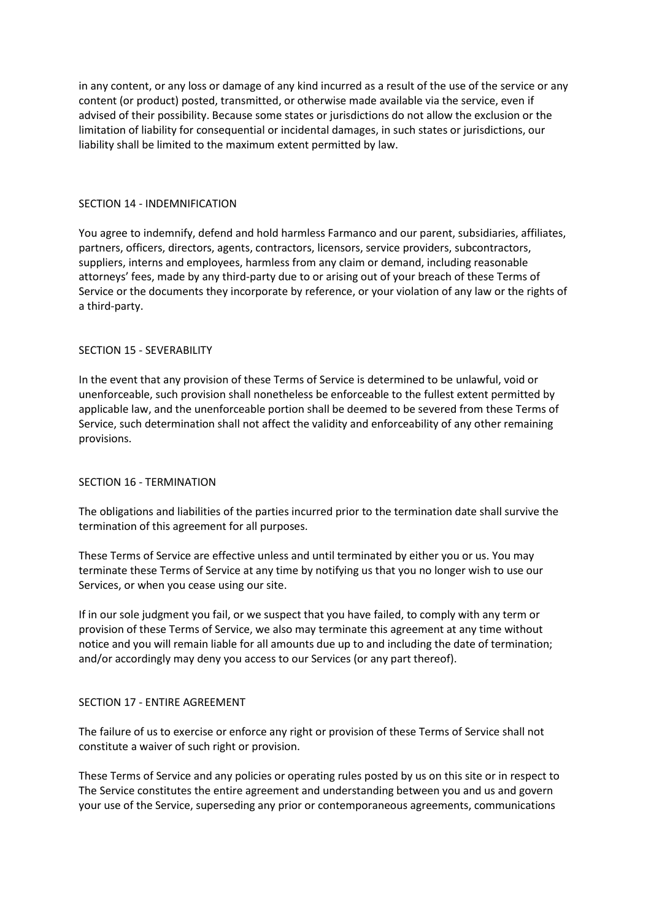in any content, or any loss or damage of any kind incurred as a result of the use of the service or any content (or product) posted, transmitted, or otherwise made available via the service, even if advised of their possibility. Because some states or jurisdictions do not allow the exclusion or the limitation of liability for consequential or incidental damages, in such states or jurisdictions, our liability shall be limited to the maximum extent permitted by law.

### SECTION 14 - INDEMNIFICATION

You agree to indemnify, defend and hold harmless Farmanco and our parent, subsidiaries, affiliates, partners, officers, directors, agents, contractors, licensors, service providers, subcontractors, suppliers, interns and employees, harmless from any claim or demand, including reasonable attorneys' fees, made by any third-party due to or arising out of your breach of these Terms of Service or the documents they incorporate by reference, or your violation of any law or the rights of a third-party.

### SECTION 15 - SEVERABILITY

In the event that any provision of these Terms of Service is determined to be unlawful, void or unenforceable, such provision shall nonetheless be enforceable to the fullest extent permitted by applicable law, and the unenforceable portion shall be deemed to be severed from these Terms of Service, such determination shall not affect the validity and enforceability of any other remaining provisions.

## SECTION 16 - TERMINATION

The obligations and liabilities of the parties incurred prior to the termination date shall survive the termination of this agreement for all purposes.

These Terms of Service are effective unless and until terminated by either you or us. You may terminate these Terms of Service at any time by notifying us that you no longer wish to use our Services, or when you cease using our site.

If in our sole judgment you fail, or we suspect that you have failed, to comply with any term or provision of these Terms of Service, we also may terminate this agreement at any time without notice and you will remain liable for all amounts due up to and including the date of termination; and/or accordingly may deny you access to our Services (or any part thereof).

## SECTION 17 - ENTIRE AGREEMENT

The failure of us to exercise or enforce any right or provision of these Terms of Service shall not constitute a waiver of such right or provision.

These Terms of Service and any policies or operating rules posted by us on this site or in respect to The Service constitutes the entire agreement and understanding between you and us and govern your use of the Service, superseding any prior or contemporaneous agreements, communications